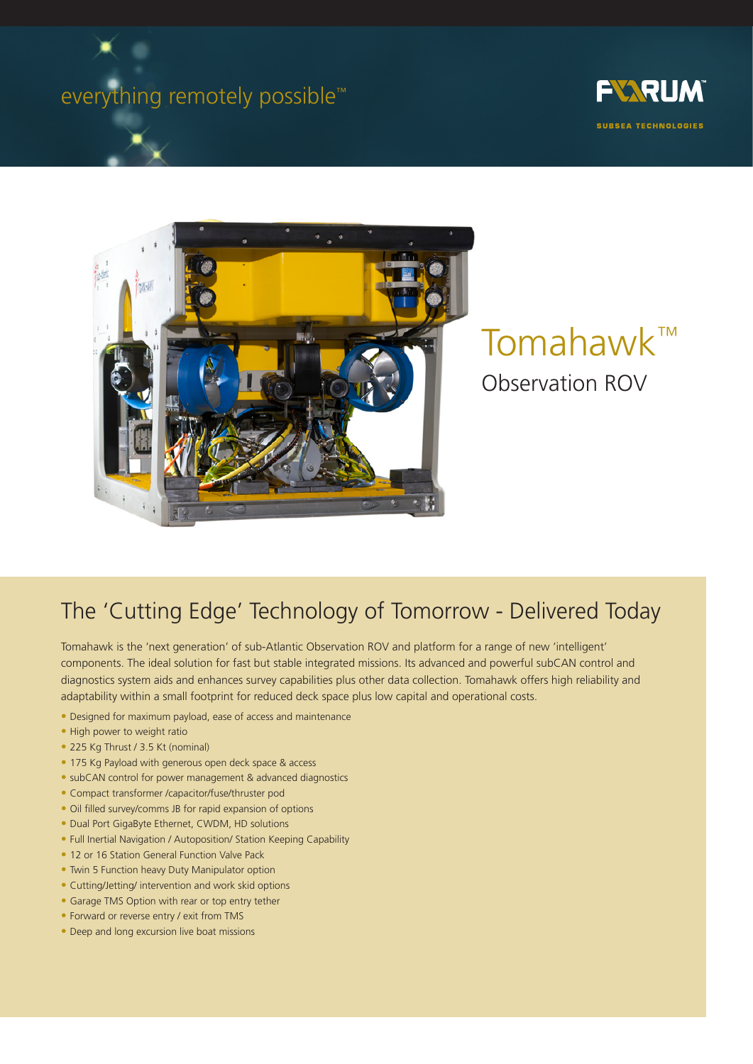# everything remotely possible<sup>™</sup>





# Tomahawk™ Observation ROV

## The 'Cutting Edge' Technology of Tomorrow - Delivered Today

Tomahawk is the 'next generation' of sub-Atlantic Observation ROV and platform for a range of new 'intelligent' components. The ideal solution for fast but stable integrated missions. Its advanced and powerful subCAN control and diagnostics system aids and enhances survey capabilities plus other data collection. Tomahawk offers high reliability and adaptability within a small footprint for reduced deck space plus low capital and operational costs.

- Designed for maximum payload, ease of access and maintenance
- High power to weight ratio
- 225 Kg Thrust / 3.5 Kt (nominal)
- 175 Kg Payload with generous open deck space & access
- subCAN control for power management & advanced diagnostics
- Compact transformer /capacitor/fuse/thruster pod
- Oil filled survey/comms JB for rapid expansion of options
- Dual Port GigaByte Ethernet, CWDM, HD solutions
- Full Inertial Navigation / Autoposition/ Station Keeping Capability
- 12 or 16 Station General Function Valve Pack
- Twin 5 Function heavy Duty Manipulator option
- Cutting/Jetting/ intervention and work skid options
- Garage TMS Option with rear or top entry tether
- Forward or reverse entry / exit from TMS
- Deep and long excursion live boat missions